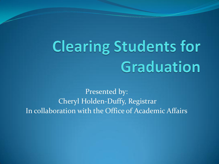# **Clearing Students for** Graduation

Presented by: Cheryl Holden-Duffy, Registrar In collaboration with the Office of Academic Affairs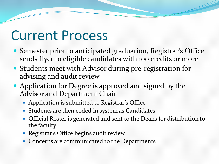### Current Process

- Semester prior to anticipated graduation, Registrar's Office sends flyer to eligible candidates with 100 credits or more
- Students meet with Advisor during pre-registration for advising and audit review
- Application for Degree is approved and signed by the Advisor and Department Chair
	- Application is submitted to Registrar's Office
	- Students are then coded in system as Candidates
	- Official Roster is generated and sent to the Deans for distribution to the faculty
	- Registrar's Office begins audit review
	- Concerns are communicated to the Departments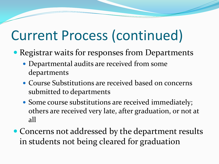# Current Process (continued)

- Registrar waits for responses from Departments
	- Departmental audits are received from some departments
	- Course Substitutions are received based on concerns submitted to departments
	- Some course substitutions are received immediately; others are received very late, after graduation, or not at all
- Concerns not addressed by the department results in students not being cleared for graduation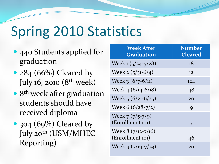# Spring 2010 Statistics

- 440 Students applied for graduation
- $284 (66%)$  Cleared by July 16, 2010 (8<sup>th</sup> week)
- 8<sup>th</sup> week after graduation students should have received diploma
- 304 (69%) Cleared by July 20<sup>th</sup> (USM/MHEC Reporting)

| <b>Week After</b><br>Graduation         | <b>Number</b><br><b>Cleared</b> |
|-----------------------------------------|---------------------------------|
| Week $1(5/24-5/28)$                     | 18                              |
| Week 2 $(5/31-6/4)$                     | 12                              |
| Week $3(6/7-6/11)$                      | 124                             |
| Week $4(6/14-6/18)$                     | 48                              |
| Week $5(6/21-6/25)$                     | 20                              |
| Week 6 (6/28-7/2)                       | 9                               |
| Week $7(7/5-7/9)$<br>(Enrollment 101)   | 7                               |
| Week $8(7/12-7/16)$<br>(Enrollment 101) | 46                              |
| Week $9(7/19-7/23)$                     | 20                              |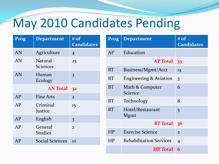### May 2010 Candidates Pending

| Prog | <b>Department</b>      | # of<br><b>Candidates</b> | Prog            | <b>Department</b>                 | # of<br><b>Candidates</b> |
|------|------------------------|---------------------------|-----------------|-----------------------------------|---------------------------|
| AN   | Agriculture            | $\overline{4}$            | <b>AP</b>       | Education                         |                           |
| AN   | Natural                | 25                        | <b>AP</b> Total |                                   | 33                        |
|      | <b>Sciences</b>        |                           | <b>BT</b>       | Business/Mgmt/Acct                | 14                        |
| AN   | Human<br>Ecology       | $\overline{\mathbf{3}}$   | <b>BT</b>       | <b>Engineering &amp; Aviation</b> | 3                         |
|      | AN Total 32            |                           | <b>BT</b>       | Math & Computer<br>Science        | 6                         |
| AP   | <b>Fine Arts</b>       | $\overline{2}$            |                 |                                   |                           |
| AP   | Criminal<br>Justice    | 15                        | <b>BT</b>       | Technology                        | 8                         |
|      |                        |                           | <b>BT</b>       | Hotel/Restaurant                  | 5                         |
| AP   | English                | $\overline{\mathbf{3}}$   |                 | <b>Mgmt</b>                       |                           |
| AP   | General                | $\overline{2}$            |                 | <b>BT</b> Total                   | 36                        |
|      | <b>Studies</b>         |                           | <b>HP</b>       | <b>Exercise Science</b>           | $\overline{2}$            |
| AP   | <b>Social Sciences</b> | 10                        | HP              | <b>Rehabilitation Services</b>    | $\overline{4}$            |
|      |                        |                           |                 | <b>HP</b> Total                   | 6                         |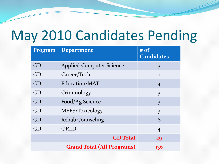### May 2010 Candidates Pending

| Program | <b>Department</b>                 | $#$ of<br><b>Candidates</b> |
|---------|-----------------------------------|-----------------------------|
| GD      | <b>Applied Computer Science</b>   | 3                           |
| GD      | Career/Tech                       | $\mathbf{1}$                |
| GD      | Education/MAT                     | $\overline{4}$              |
| GD      | Criminology                       | 3                           |
| GD      | Food/Ag Science                   | 3                           |
| GD      | MEES/Toxicology                   | 3                           |
| GD      | <b>Rehab Counseling</b>           | 8                           |
| GD      | ORLD                              | $\overline{4}$              |
|         | <b>GD</b> Total                   | 29                          |
|         | <b>Grand Total (All Programs)</b> | 136                         |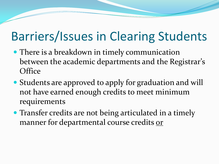### Barriers/Issues in Clearing Students

- There is a breakdown in timely communication between the academic departments and the Registrar's **Office**
- Students are approved to apply for graduation and will not have earned enough credits to meet minimum requirements
- Transfer credits are not being articulated in a timely manner for departmental course credits or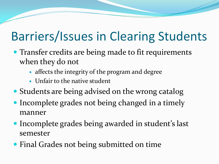### Barriers/Issues in Clearing Students

- Transfer credits are being made to fit requirements when they do not
	- affects the integrity of the program and degree
	- Unfair to the native student
- Students are being advised on the wrong catalog
- Incomplete grades not being changed in a timely manner
- Incomplete grades being awarded in student's last semester
- Final Grades not being submitted on time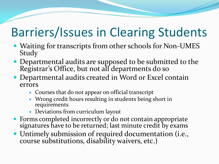### Barriers/Issues in Clearing Students

- Waiting for transcripts from other schools for Non-UMES Study
- Departmental audits are supposed to be submitted to the Registrar's Office, but not all departments do so
- Departmental audits created in Word or Excel contain errors
	- Courses that do not appear on official transcript
	- Wrong credit hours resulting in students being short in requirements
	- Deviations from curriculum layout
- Forms completed incorrectly or do not contain appropriate signatures have to be returned; last minute credit by exams
- Untimely submission of required documentation (i.e., course substitutions, disability waivers, etc.)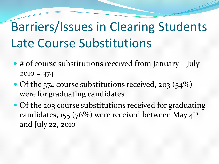## Barriers/Issues in Clearing Students Late Course Substitutions

- # of course substitutions received from January July  $2010 = 374$
- Of the 374 course substitutions received, 203 (54%) were for graduating candidates
- Of the 203 course substitutions received for graduating candidates, 155 (76%) were received between May  $4^{\text{th}}$ and July 22, 2010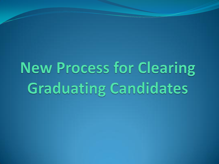# **New Process for Clearing Graduating Candidates**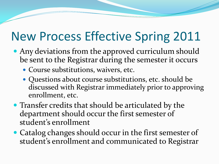- Any deviations from the approved curriculum should be sent to the Registrar during the semester it occurs
	- Course substitutions, waivers, etc.
	- Questions about course substitutions, etc. should be discussed with Registrar immediately prior to approving enrollment, etc.
- Transfer credits that should be articulated by the department should occur the first semester of student's enrollment
- Catalog changes should occur in the first semester of student's enrollment and communicated to Registrar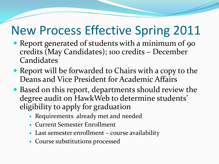- Report generated of students with a minimum of 90 credits (May Candidates); 100 credits – December Candidates
- Report will be forwarded to Chairs with a copy to the Deans and Vice President for Academic Affairs
- Based on this report, departments should review the degree audit on HawkWeb to determine students' eligibility to apply for graduation
	- Requirements already met and needed
	- Current Semester Enrollment
	- Last semester enrollment course availability
	- Course substitutions processed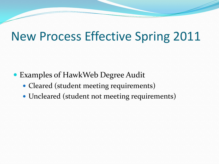- Examples of HawkWeb Degree Audit
	- Cleared (student meeting requirements)
	- Uncleared (student not meeting requirements)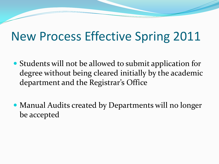- Students will not be allowed to submit application for degree without being cleared initially by the academic department and the Registrar's Office
- Manual Audits created by Departments will no longer be accepted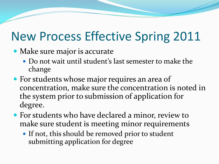- Make sure major is accurate
	- Do not wait until student's last semester to make the change
- For students whose major requires an area of concentration, make sure the concentration is noted in the system prior to submission of application for degree.
- For students who have declared a minor, review to make sure student is meeting minor requirements
	- If not, this should be removed prior to student submitting application for degree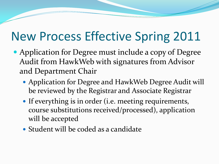- Application for Degree must include a copy of Degree Audit from HawkWeb with signatures from Advisor and Department Chair
	- Application for Degree and HawkWeb Degree Audit will be reviewed by the Registrar and Associate Registrar
	- If everything is in order (i.e. meeting requirements, course substitutions received/processed), application will be accepted
	- Student will be coded as a candidate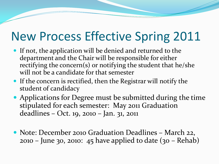- If not, the application will be denied and returned to the department and the Chair will be responsible for either rectifying the concern(s) or notifying the student that he/she will not be a candidate for that semester
- If the concern is rectified, then the Registrar will notify the student of candidacy
- Applications for Degree must be submitted during the time stipulated for each semester: May 2011 Graduation deadlines – Oct. 19, 2010 – Jan. 31, 2011
- Note: December 2010 Graduation Deadlines March 22, 2010 – June 30, 2010: 45 have applied to date (30 – Rehab)